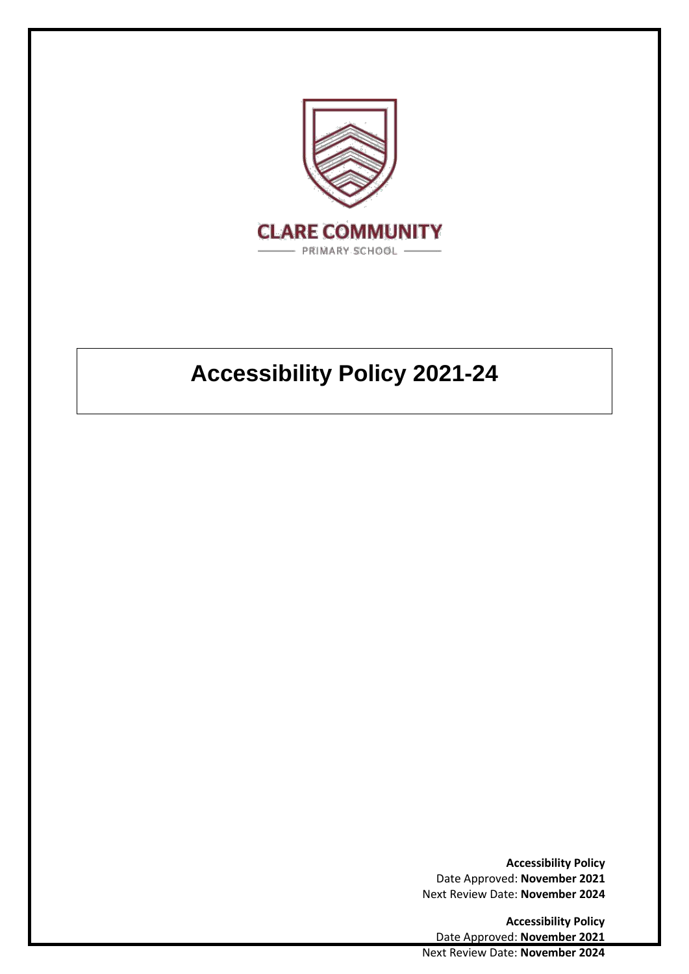

# **Accessibility Policy 2021-24**

**Accessibility Policy**  Date Approved: **November 2021** Next Review Date: **November 2024**

**Accessibility Policy**  Date Approved: **November 2021** Next Review Date: **November 2024**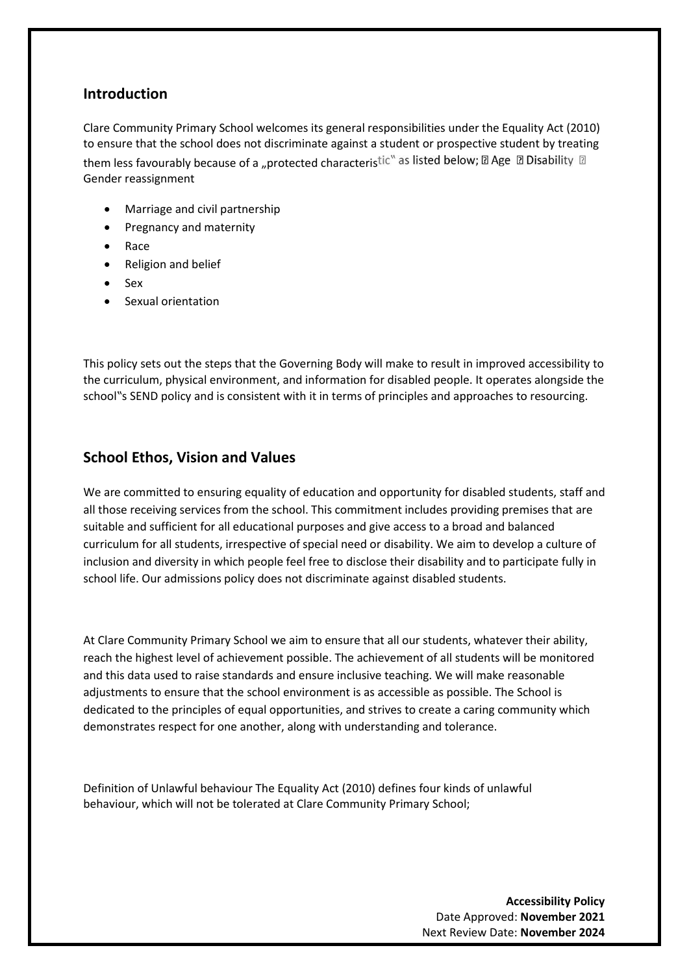## **Introduction**

Clare Community Primary School welcomes its general responsibilities under the Equality Act (2010) to ensure that the school does not discriminate against a student or prospective student by treating them less favourably because of a "protected characteristic" as listed below;  $\mathbb D$  Age  $\mathbb D$  Disability  $\mathbb D$ Gender reassignment

- Marriage and civil partnership
- Pregnancy and maternity
- Race
- Religion and belief
- Sex
- Sexual orientation

This policy sets out the steps that the Governing Body will make to result in improved accessibility to the curriculum, physical environment, and information for disabled people. It operates alongside the school"s SEND policy and is consistent with it in terms of principles and approaches to resourcing.

### **School Ethos, Vision and Values**

We are committed to ensuring equality of education and opportunity for disabled students, staff and all those receiving services from the school. This commitment includes providing premises that are suitable and sufficient for all educational purposes and give access to a broad and balanced curriculum for all students, irrespective of special need or disability. We aim to develop a culture of inclusion and diversity in which people feel free to disclose their disability and to participate fully in school life. Our admissions policy does not discriminate against disabled students.

At Clare Community Primary School we aim to ensure that all our students, whatever their ability, reach the highest level of achievement possible. The achievement of all students will be monitored and this data used to raise standards and ensure inclusive teaching. We will make reasonable adjustments to ensure that the school environment is as accessible as possible. The School is dedicated to the principles of equal opportunities, and strives to create a caring community which demonstrates respect for one another, along with understanding and tolerance.

Definition of Unlawful behaviour The Equality Act (2010) defines four kinds of unlawful behaviour, which will not be tolerated at Clare Community Primary School;

> **Accessibility Policy**  Date Approved: **November 2021** Next Review Date: **November 2024**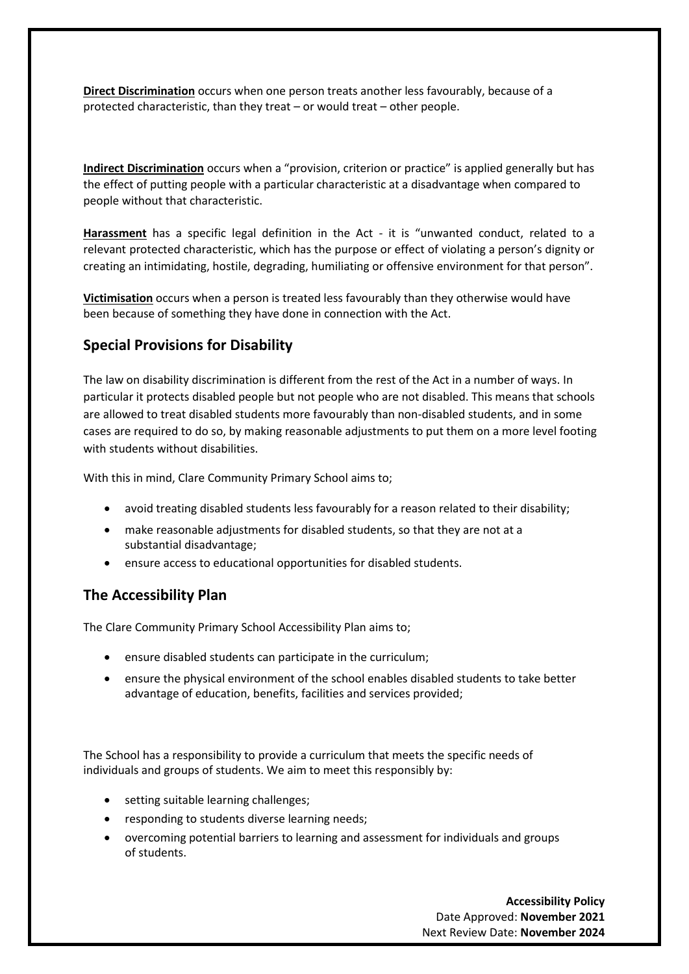**Direct Discrimination** occurs when one person treats another less favourably, because of a protected characteristic, than they treat – or would treat – other people.

**Indirect Discrimination** occurs when a "provision, criterion or practice" is applied generally but has the effect of putting people with a particular characteristic at a disadvantage when compared to people without that characteristic.

**Harassment** has a specific legal definition in the Act - it is "unwanted conduct, related to a relevant protected characteristic, which has the purpose or effect of violating a person's dignity or creating an intimidating, hostile, degrading, humiliating or offensive environment for that person".

**Victimisation** occurs when a person is treated less favourably than they otherwise would have been because of something they have done in connection with the Act.

## **Special Provisions for Disability**

The law on disability discrimination is different from the rest of the Act in a number of ways. In particular it protects disabled people but not people who are not disabled. This means that schools are allowed to treat disabled students more favourably than non-disabled students, and in some cases are required to do so, by making reasonable adjustments to put them on a more level footing with students without disabilities.

With this in mind, Clare Community Primary School aims to;

- avoid treating disabled students less favourably for a reason related to their disability;
- make reasonable adjustments for disabled students, so that they are not at a substantial disadvantage;
- ensure access to educational opportunities for disabled students.

## **The Accessibility Plan**

The Clare Community Primary School Accessibility Plan aims to;

- ensure disabled students can participate in the curriculum;
- ensure the physical environment of the school enables disabled students to take better advantage of education, benefits, facilities and services provided;

The School has a responsibility to provide a curriculum that meets the specific needs of individuals and groups of students. We aim to meet this responsibly by:

- setting suitable learning challenges;
- responding to students diverse learning needs;
- overcoming potential barriers to learning and assessment for individuals and groups of students.

**Accessibility Policy**  Date Approved: **November 2021** Next Review Date: **November 2024**